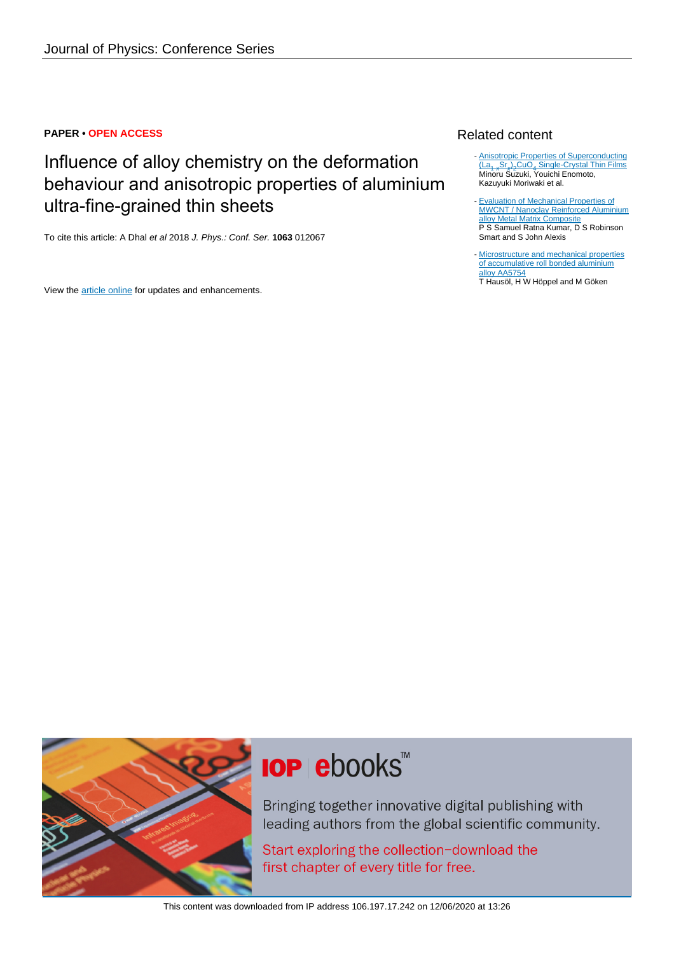# **PAPER • OPEN ACCESS**

# Influence of alloy chemistry on the deformation behaviour and anisotropic properties of aluminium ultra-fine-grained thin sheets

To cite this article: A Dhal et al 2018 J. Phys.: Conf. Ser. **1063** 012067

View the [article online](https://doi.org/10.1088/1742-6596/1063/1/012067) for updates and enhancements.

# Related content

- [Anisotropic Properties of Superconducting](http://iopscience.iop.org/article/10.1143/JJAP.27.L127) <u>[\(La](http://iopscience.iop.org/article/10.1143/JJAP.27.L127)<sub>1-x</sub>[Sr](http://iopscience.iop.org/article/10.1143/JJAP.27.L127)<sub>x</sub>[\)](http://iopscience.iop.org/article/10.1143/JJAP.27.L127)<sub>2</sub>[CuO](http://iopscience.iop.org/article/10.1143/JJAP.27.L127)<sub>4</sub> [Single-Crystal Thin Films](http://iopscience.iop.org/article/10.1143/JJAP.27.L127)</u> Minoru Suzuki, Youichi Enomoto, Kazuyuki Moriwaki et al. -
- [Evaluation of Mechanical Properties of](http://iopscience.iop.org/article/10.1088/1757-899X/346/1/012013) [MWCNT / Nanoclay Reinforced Aluminium](http://iopscience.iop.org/article/10.1088/1757-899X/346/1/012013) [alloy Metal Matrix Composite](http://iopscience.iop.org/article/10.1088/1757-899X/346/1/012013) P S Samuel Ratna Kumar, D S Robinson Smart and S John Alexis -
- [Microstructure and mechanical properties](http://iopscience.iop.org/article/10.1088/1742-6596/240/1/012128) [of accumulative roll bonded aluminium](http://iopscience.iop.org/article/10.1088/1742-6596/240/1/012128) [alloy AA5754](http://iopscience.iop.org/article/10.1088/1742-6596/240/1/012128) T Hausöl, H W Höppel and M Göken

# **IOP ebooks**™

Bringing together innovative digital publishing with leading authors from the global scientific community.

Start exploring the collection-download the first chapter of every title for free.

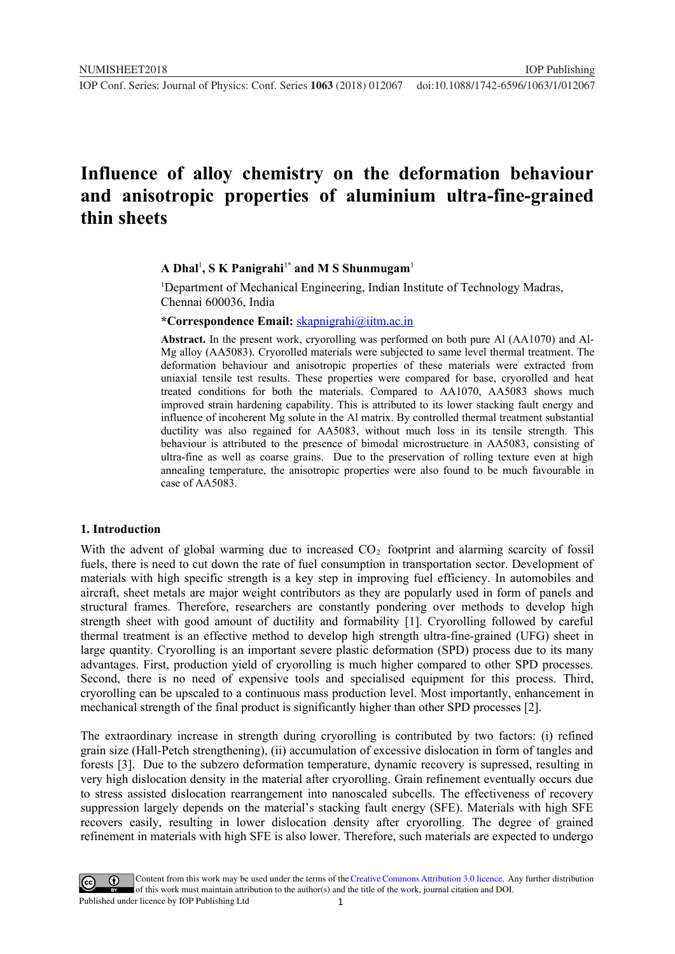# **Influence of alloy chemistry on the deformation behaviour and anisotropic properties of aluminium ultra-fine-grained thin sheets**

### $\mathbf{A}$  Dhal<sup>1</sup>, S K Panigrahi<sup>1\*</sup> and M S Shunmugam<sup>1</sup>

<sup>1</sup>Department of Mechanical Engineering, Indian Institute of Technology Madras, Chennai 600036, India

**\*Correspondence Email:** skapnigrahi@iitm.ac.in

**Abstract.** In the present work, cryorolling was performed on both pure Al (AA1070) and Al-Mg alloy (AA5083). Cryorolled materials were subjected to same level thermal treatment. The deformation behaviour and [anisotropic properties of](mailto:skapnigrahi@iitm.ac.in) these materials were extracted from uniaxial tensile test results. These properties were compared for base, cryorolled and heat treated conditions for both the materials. Compared to AA1070, AA5083 shows much improved strain hardening capability. This is attributed to its lower stacking fault energy and influence of incoherent Mg solute in the Al matrix. By controlled thermal treatment substantial ductility was also regained for AA5083, without much loss in its tensile strength. This behaviour is attributed to the presence of bimodal microstructure in AA5083, consisting of ultra-fine as well as coarse grains. Due to the preservation of rolling texture even at high annealing temperature, the anisotropic properties were also found to be much favourable in case of AA5083.

#### **1. Introduction**

With the advent of global warming due to increased  $CO<sub>2</sub>$  footprint and alarming scarcity of fossil fuels, there is need to cut down the rate of fuel consumption in transportation sector. Development of materials with high specific strength is a key step in improving fuel efficiency. In automobiles and aircraft, sheet metals are major weight contributors as they are popularly used in form of panels and structural frames. Therefore, researchers are constantly pondering over methods to develop high strength sheet with good amount of ductility and formability [1]. Cryorolling followed by careful thermal treatment is an effective method to develop high strength ultra-fine-grained (UFG) sheet in large quantity. Cryorolling is an important severe plastic deformation (SPD) process due to its many advantages. First, production yield of cryorolling is much higher compared to other SPD processes. Second, there is no need of expensive tools and specialised equipment for this process. Third, cryorolling can be upscaled to a continuous mass production level. Most importantly, enhancement in mechanical strength of the final product is significantly higher than other SPD processes [2].

The extraordinary increase in strength during cryorolling is contributed by two factors: (i) refined grain size (Hall-Petch strengthening), (ii) accumulation of excessive dislocation in form of tangles and forests [3]. Due to the subzero deformation temperature, dynamic recovery is supressed, resulting in very high dislocation density in the material after cryorolling. Grain refinement eventually occurs due to stress assisted dislocation rearrangement into nanoscaled subcells. The effectiveness of recovery suppression largely depends on the material's stacking fault energy (SFE). Materials with high SFE recovers easily, resulting in lower dislocation density after cryorolling. The degree of grained refinement in materials with high SFE is also lower. Therefore, such materials are expected to undergo

1 Content from this work may be used under the terms of the[Creative Commons Attribution 3.0 licence.](http://creativecommons.org/licenses/by/3.0) Any further distribution of this work must maintain attribution to the author(s) and the title of the work, journal citation and DOI. Published under licence by IOP Publishing Ltd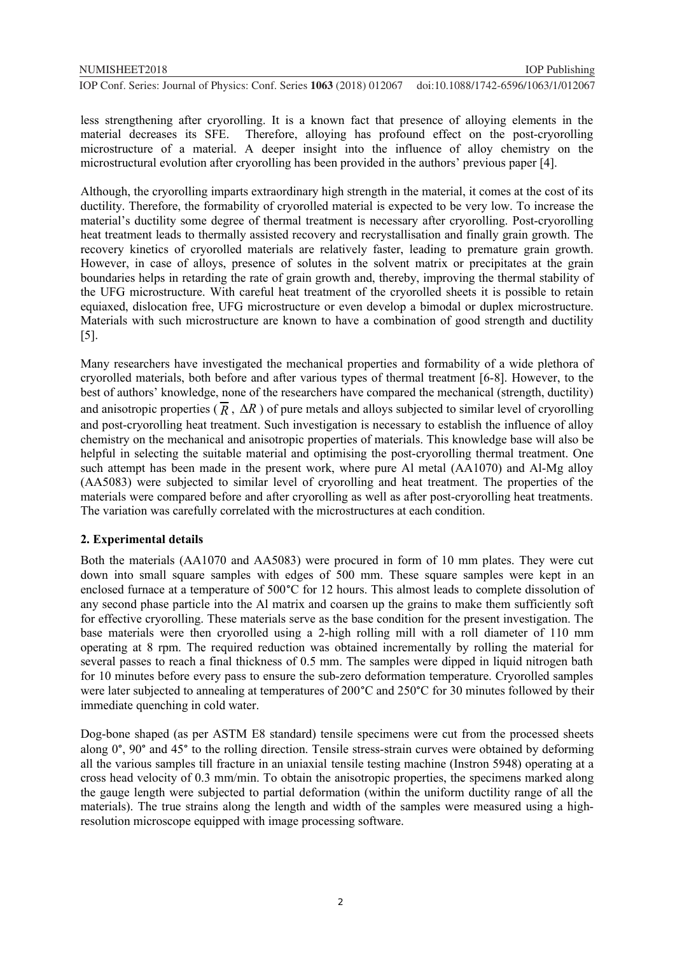less strengthening after cryorolling. It is a known fact that presence of alloying elements in the material decreases its SFE. Therefore, alloying has profound effect on the post-cryorolling microstructure of a material. A deeper insight into the influence of alloy chemistry on the microstructural evolution after cryorolling has been provided in the authors' previous paper [4].

Although, the cryorolling imparts extraordinary high strength in the material, it comes at the cost of its ductility. Therefore, the formability of cryorolled material is expected to be very low. To increase the material's ductility some degree of thermal treatment is necessary after cryorolling. Post-cryorolling heat treatment leads to thermally assisted recovery and recrystallisation and finally grain growth. The recovery kinetics of cryorolled materials are relatively faster, leading to premature grain growth. However, in case of alloys, presence of solutes in the solvent matrix or precipitates at the grain boundaries helps in retarding the rate of grain growth and, thereby, improving the thermal stability of the UFG microstructure. With careful heat treatment of the cryorolled sheets it is possible to retain equiaxed, dislocation free, UFG microstructure or even develop a bimodal or duplex microstructure. Materials with such microstructure are known to have a combination of good strength and ductility [5].

Many researchers have investigated the mechanical properties and formability of a wide plethora of cryorolled materials, both before and after various types of thermal treatment [6-8]. However, to the best of authors' knowledge, none of the researchers have compared the mechanical (strength, ductility) and anisotropic properties ( $\overline{R}$ ,  $\Delta R$ ) of pure metals and alloys subjected to similar level of cryorolling and post-cryorolling heat treatment. Such investigation is necessary to establish the influence of alloy chemistry on the mechanical and anisotropic properties of materials. This knowledge base will also be helpful in selecting the suitable material and optimising the post-cryorolling thermal treatment. One such attempt has been made in the present work, where pure Al metal (AA1070) and Al-Mg alloy (AA5083) were subjected to similar level of cryorolling and heat treatment. The properties of the materials were compared before and after cryorolling as well as after post-cryorolling heat treatments. The variation was carefully correlated with the microstructures at each condition.

# **2. Experimental details**

Both the materials (AA1070 and AA5083) were procured in form of 10 mm plates. They were cut down into small square samples with edges of 500 mm. These square samples were kept in an enclosed furnace at a temperature of 500°C for 12 hours. This almost leads to complete dissolution of any second phase particle into the Al matrix and coarsen up the grains to make them sufficiently soft for effective cryorolling. These materials serve as the base condition for the present investigation. The base materials were then cryorolled using a 2-high rolling mill with a roll diameter of 110 mm operating at 8 rpm. The required reduction was obtained incrementally by rolling the material for several passes to reach a final thickness of 0.5 mm. The samples were dipped in liquid nitrogen bath for 10 minutes before every pass to ensure the sub-zero deformation temperature. Cryorolled samples were later subjected to annealing at temperatures of 200°C and 250°C for 30 minutes followed by their immediate quenching in cold water.

Dog-bone shaped (as per ASTM E8 standard) tensile specimens were cut from the processed sheets along 0°, 90° and 45° to the rolling direction. Tensile stress-strain curves were obtained by deforming all the various samples till fracture in an uniaxial tensile testing machine (Instron 5948) operating at a cross head velocity of 0.3 mm/min. To obtain the anisotropic properties, the specimens marked along the gauge length were subjected to partial deformation (within the uniform ductility range of all the materials). The true strains along the length and width of the samples were measured using a highresolution microscope equipped with image processing software.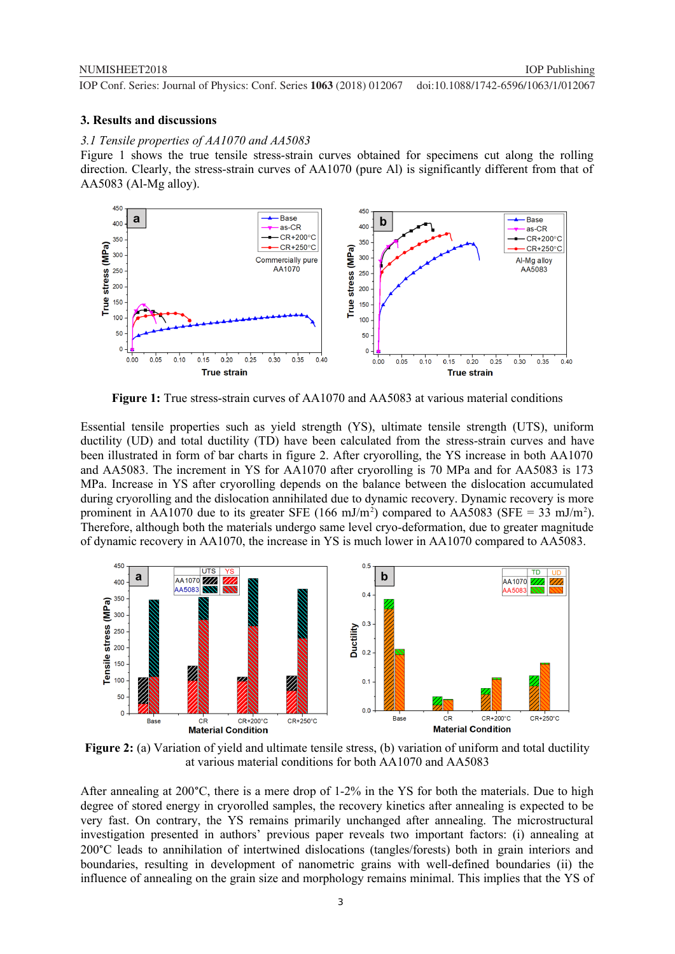## **3. Results and discussions**

#### *3.1 Tensile properties of AA1070 and AA5083*

Figure 1 shows the true tensile stress-strain curves obtained for specimens cut along the rolling direction. Clearly, the stress-strain curves of AA1070 (pure Al) is significantly different from that of AA5083 (Al-Mg alloy).



**Figure 1:** True stress-strain curves of AA1070 and AA5083 at various material conditions

Essential tensile properties such as yield strength (YS), ultimate tensile strength (UTS), uniform ductility (UD) and total ductility (TD) have been calculated from the stress-strain curves and have been illustrated in form of bar charts in figure 2. After cryorolling, the YS increase in both AA1070 and AA5083. The increment in YS for AA1070 after cryorolling is 70 MPa and for AA5083 is 173 MPa. Increase in YS after cryorolling depends on the balance between the dislocation accumulated during cryorolling and the dislocation annihilated due to dynamic recovery. Dynamic recovery is more prominent in AA1070 due to its greater SFE (166 mJ/m<sup>2</sup>) compared to AA5083 (SFE = 33 mJ/m<sup>2</sup>). Therefore, although both the materials undergo same level cryo-deformation, due to greater magnitude of dynamic recovery in AA1070, the increase in YS is much lower in AA1070 compared to AA5083.



**Figure 2:** (a) Variation of yield and ultimate tensile stress, (b) variation of uniform and total ductility at various material conditions for both AA1070 and AA5083

After annealing at 200°C, there is a mere drop of 1-2% in the YS for both the materials. Due to high degree of stored energy in cryorolled samples, the recovery kinetics after annealing is expected to be very fast. On contrary, the YS remains primarily unchanged after annealing. The microstructural investigation presented in authors' previous paper reveals two important factors: (i) annealing at 200°C leads to annihilation of intertwined dislocations (tangles/forests) both in grain interiors and boundaries, resulting in development of nanometric grains with well-defined boundaries (ii) the influence of annealing on the grain size and morphology remains minimal. This implies that the YS of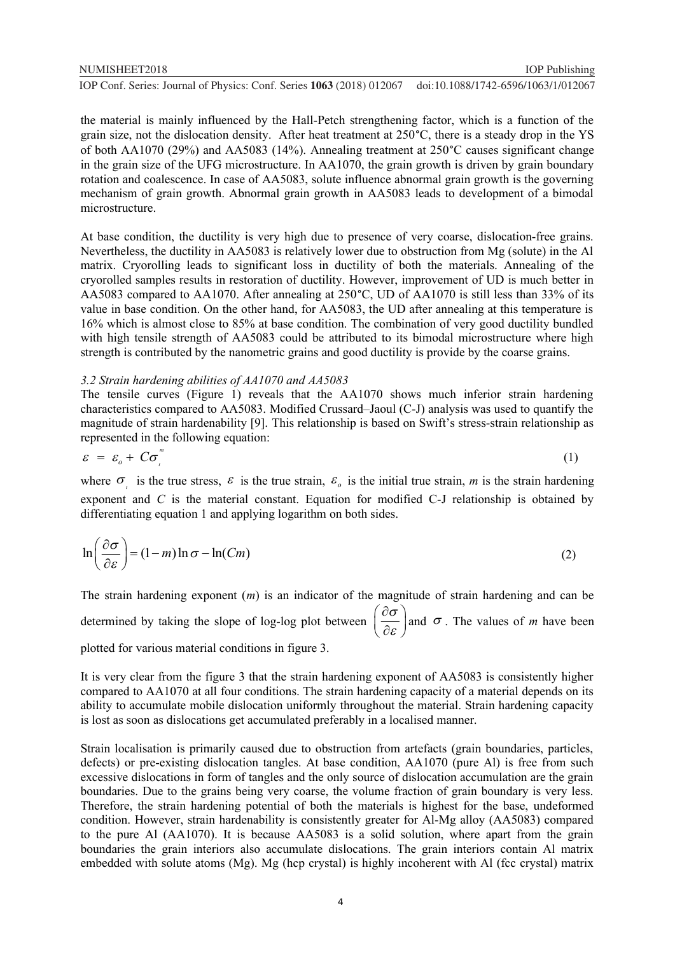#### NUMISHEET2018 IOP Publishing

**1234567890** ''"" IOP Conf. Series: Journal of Physics: Conf. Series **1063** (2018) 012067 doi :10.1088/1742-6596/1063/1/012067

the material is mainly influenced by the Hall-Petch strengthening factor, which is a function of the grain size, not the dislocation density. After heat treatment at 250°C, there is a steady drop in the YS of both AA1070 (29%) and AA5083 (14%). Annealing treatment at 250°C causes significant change in the grain size of the UFG microstructure. In AA1070, the grain growth is driven by grain boundary rotation and coalescence. In case of AA5083, solute influence abnormal grain growth is the governing mechanism of grain growth. Abnormal grain growth in AA5083 leads to development of a bimodal microstructure.

At base condition, the ductility is very high due to presence of very coarse, dislocation-free grains. Nevertheless, the ductility in AA5083 is relatively lower due to obstruction from Mg (solute) in the Al matrix. Cryorolling leads to significant loss in ductility of both the materials. Annealing of the cryorolled samples results in restoration of ductility. However, improvement of UD is much better in AA5083 compared to AA1070. After annealing at 250°C, UD of AA1070 is still less than 33% of its value in base condition. On the other hand, for AA5083, the UD after annealing at this temperature is 16% which is almost close to 85% at base condition. The combination of very good ductility bundled with high tensile strength of AA5083 could be attributed to its bimodal microstructure where high strength is contributed by the nanometric grains and good ductility is provide by the coarse grains.

### *3.2 Strain hardening abilities of AA1070 and AA5083*

The tensile curves (Figure 1) reveals that the AA1070 shows much inferior strain hardening characteristics compared to AA5083. Modified Crussard–Jaoul (C-J) analysis was used to quantify the magnitude of strain hardenability [9]. This relationship is based on Swift's stress-strain relationship as represented in the following equation:

$$
\varepsilon = \varepsilon_o + C\sigma_i^m \tag{1}
$$

where  $\sigma$ <sub>i</sub> is the true stress,  $\varepsilon$  is the true strain,  $\varepsilon$ <sub>o</sub> is the initial true strain, *m* is the strain hardening exponent and *C* is the material constant. Equation for modified C-J relationship is obtained by differentiating equation 1 and applying logarithm on both sides.

$$
\ln\left(\frac{\partial \sigma}{\partial \varepsilon}\right) = (1 - m)\ln \sigma - \ln(Cm)
$$
 (2)

The strain hardening exponent (*m*) is an indicator of the magnitude of strain hardening and can be determined by taking the slope of log-log plot between  $\frac{\partial \sigma}{\partial \phi}$ ε  $\left(\,\partial\sigma\,\right)$  $\left(\frac{\partial}{\partial \varepsilon}\right)$  and  $\sigma$ . The values of *m* have been plotted for various material conditions in figure 3.

It is very clear from the figure 3 that the strain hardening exponent of AA5083 is consistently higher compared to AA1070 at all four conditions. The strain hardening capacity of a material depends on its ability to accumulate mobile dislocation uniformly throughout the material. Strain hardening capacity is lost as soon as dislocations get accumulated preferably in a localised manner.

Strain localisation is primarily caused due to obstruction from artefacts (grain boundaries, particles, defects) or pre-existing dislocation tangles. At base condition, AA1070 (pure Al) is free from such excessive dislocations in form of tangles and the only source of dislocation accumulation are the grain boundaries. Due to the grains being very coarse, the volume fraction of grain boundary is very less. Therefore, the strain hardening potential of both the materials is highest for the base, undeformed condition. However, strain hardenability is consistently greater for Al-Mg alloy (AA5083) compared to the pure Al (AA1070). It is because AA5083 is a solid solution, where apart from the grain boundaries the grain interiors also accumulate dislocations. The grain interiors contain Al matrix embedded with solute atoms (Mg). Mg (hcp crystal) is highly incoherent with Al (fcc crystal) matrix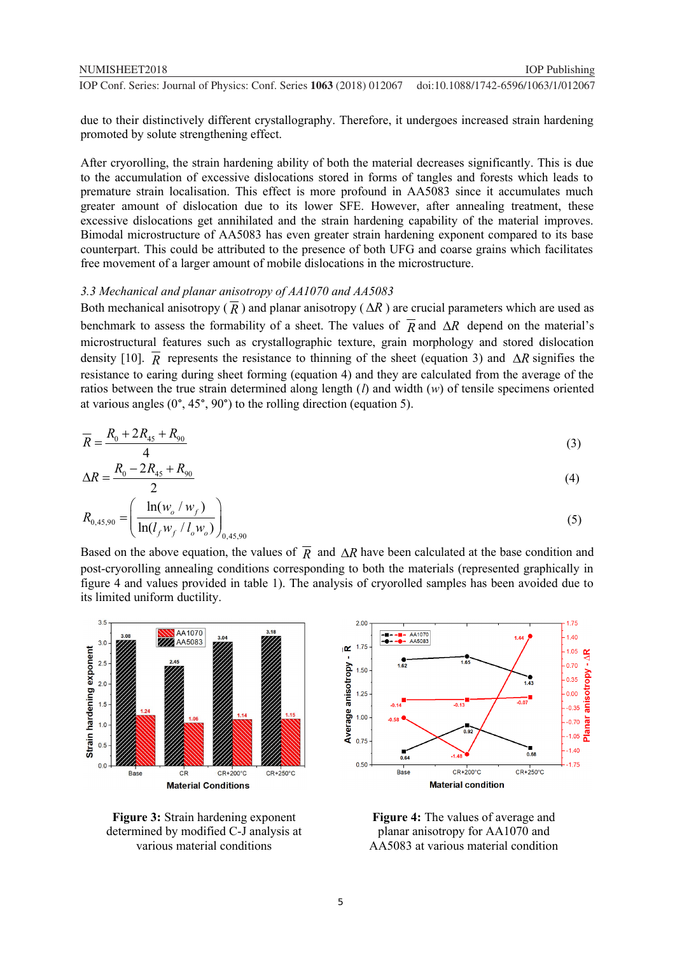due to their distinctively different crystallography. Therefore, it undergoes increased strain hardening promoted by solute strengthening effect.

After cryorolling, the strain hardening ability of both the material decreases significantly. This is due to the accumulation of excessive dislocations stored in forms of tangles and forests which leads to premature strain localisation. This effect is more profound in AA5083 since it accumulates much greater amount of dislocation due to its lower SFE. However, after annealing treatment, these excessive dislocations get annihilated and the strain hardening capability of the material improves. Bimodal microstructure of AA5083 has even greater strain hardening exponent compared to its base counterpart. This could be attributed to the presence of both UFG and coarse grains which facilitates free movement of a larger amount of mobile dislocations in the microstructure.

#### *3.3 Mechanical and planar anisotropy of AA1070 and AA5083*

Both mechanical anisotropy  $(\overline{R})$  and planar anisotropy  $(\Delta R)$  are crucial parameters which are used as benchmark to assess the formability of a sheet. The values of  $\overline{R}$  and  $\Delta R$  depend on the material's microstructural features such as crystallographic texture, grain morphology and stored dislocation density [10].  $\overline{R}$  represents the resistance to thinning of the sheet (equation 3) and  $\Delta R$  signifies the resistance to earing during sheet forming (equation 4) and they are calculated from the average of the ratios between the true strain determined along length (*l*) and width (*w*) of tensile specimens oriented at various angles (0°, 45°, 90°) to the rolling direction (equation 5).

$$
\overline{R} = \frac{R_0 + 2R_{45} + R_{90}}{4} \tag{3}
$$

$$
\Delta R = \frac{R_0 - 2R_{45} + R_{90}}{2} \tag{4}
$$

$$
R_{0,45,90} = \left(\frac{\ln(w_o / w_f)}{\ln(l_f w_f / l_o w_o)}\right)_{0,45,90}
$$
\n(5)

Based on the above equation, the values of  $\overline{R}$  and  $\Delta R$  have been calculated at the base condition and post-cryorolling annealing conditions corresponding to both the materials (represented graphically in figure 4 and values provided in table 1). The analysis of cryorolled samples has been avoided due to its limited uniform ductility.



**Figure 3:** Strain hardening exponent determined by modified C-J analysis at various material conditions



**Figure 4:** The values of average and planar anisotropy for AA1070 and AA5083 at various material condition